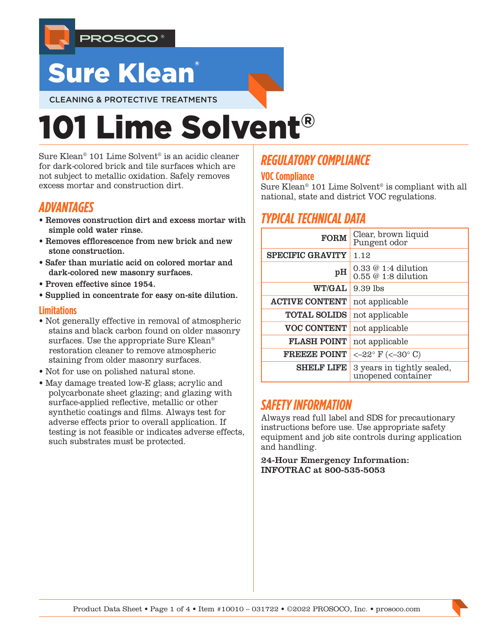

# **Sure Klean**

CLEANING & PROTECTIVE TREATMENTS

# 101 Lime Solvent®

Sure Klean® 101 Lime Solvent® is an acidic cleaner for dark-colored brick and tile surfaces which are not subject to metallic oxidation. Safely removes excess mortar and construction dirt.

## *ADVANTAGES*

- Removes construction dirt and excess mortar with simple cold water rinse.
- Removes efflorescence from new brick and new stone construction.
- Safer than muriatic acid on colored mortar and dark-colored new masonry surfaces.
- Proven effective since 1954.
- Supplied in concentrate for easy on-site dilution.

### **Limitations**

- Not generally effective in removal of atmospheric stains and black carbon found on older masonry surfaces. Use the appropriate Sure Klean® restoration cleaner to remove atmospheric staining from older masonry surfaces.
- Not for use on polished natural stone.
- May damage treated low-E glass; acrylic and polycarbonate sheet glazing; and glazing with surface-applied reflective, metallic or other synthetic coatings and films. Always test for adverse effects prior to overall application. If testing is not feasible or indicates adverse effects, such substrates must be protected.

# *REGULATORY COMPLIANCE*

## **VOC Compliance**

Sure Klean® 101 Lime Solvent® is compliant with all national, state and district VOC regulations.

# *TYPICAL TECHNICAL DATA*

| <b>FORM</b>             | Clear, brown liquid<br>Pungent odor              |  |  |
|-------------------------|--------------------------------------------------|--|--|
| <b>SPECIFIC GRAVITY</b> | 1.12                                             |  |  |
| pH                      | $0.33 \& 1:4$ dilution<br>$0.55@1:8$ dilution    |  |  |
| <b>WT/GAL</b>           | $9.39$ lbs                                       |  |  |
| <b>ACTIVE CONTENT</b>   | not applicable                                   |  |  |
| <b>TOTAL SOLIDS</b>     | not applicable                                   |  |  |
| <b>VOC CONTENT</b>      | not applicable                                   |  |  |
| <b>FLASH POINT</b>      | not applicable                                   |  |  |
| <b>FREEZE POINT</b>     | $<-22^{\circ}$ F (<-30° C)                       |  |  |
| <b>SHELF LIFE</b>       | 3 years in tightly sealed,<br>unopened container |  |  |

## *SAFETY INFORMATION*

Always read full label and SDS for precautionary instructions before use. Use appropriate safety equipment and job site controls during application and handling.

24-Hour Emergency Information: INFOTRAC at 800-535-5053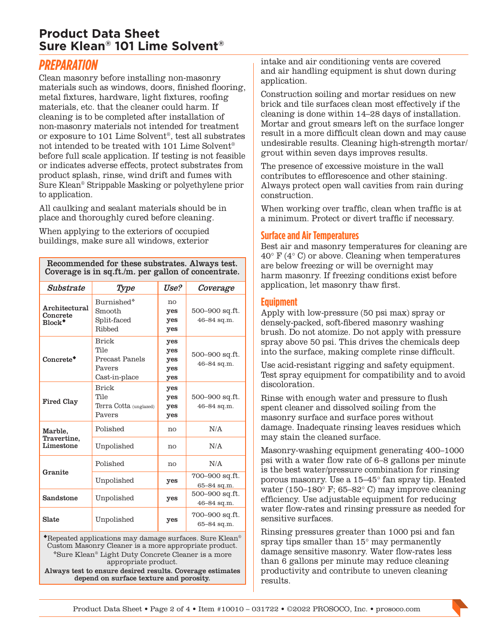## **Product Data Sheet Sure Klean® 101 Lime Solvent®**

## *PREPARATION*

Clean masonry before installing non-masonry materials such as windows, doors, finished flooring, metal fixtures, hardware, light fixtures, roofing materials, etc. that the cleaner could harm. If cleaning is to be completed after installation of non-masonry materials not intended for treatment or exposure to 101 Lime Solvent®, test all substrates not intended to be treated with 101 Lime Solvent® before full scale application. If testing is not feasible or indicates adverse effects, protect substrates from product splash, rinse, wind drift and fumes with Sure Klean® Strippable Masking or polyethylene prior to application.

All caulking and sealant materials should be in place and thoroughly cured before cleaning.

When applying to the exteriors of occupied buildings, make sure all windows, exterior

Recommended for these substrates. Always test. Coverage is in sq.ft./m. per gallon of concentrate.

| Substrate                                                        | Type                                                                     | Use?                            | Coverage                      |
|------------------------------------------------------------------|--------------------------------------------------------------------------|---------------------------------|-------------------------------|
| Architectural<br>Concrete<br>$Block*$                            | Burnished*<br>Smooth<br>Split-faced<br>Ribbed                            | no<br>yes<br>yes<br>yes         | 500–900 sq.ft.<br>46-84 sq.m. |
| Concrete <sup>+</sup>                                            | <b>Brick</b><br>Tile<br><b>Precast Panels</b><br>Payers<br>Cast-in-place | yes<br>yes<br>yes<br>yes<br>yes | 500-900 sq.ft.<br>46-84 sq.m. |
| <b>Fired Clay</b>                                                | <b>Brick</b><br>Tile<br>Terra Cotta (unglazed)<br>Pavers                 | yes<br>yes<br>yes<br>yes        | 500–900 sq.ft.<br>46-84 sq.m. |
| Marble,<br>Travertine,<br>Limestone                              | Polished                                                                 | no                              | N/A                           |
|                                                                  | Unpolished                                                               | no                              | N/A                           |
| Granite                                                          | Polished                                                                 | no                              | N/A                           |
|                                                                  | Unpolished                                                               | yes                             | 700–900 sq.ft.<br>65-84 sq.m. |
| Sandstone                                                        | Unpolished                                                               | yes                             | 500–900 sq.ft.<br>46-84 sq.m. |
| Slate                                                            | Unpolished                                                               |                                 | 700–900 sq.ft.<br>65-84 sq.m. |
| $\bullet$ Repeated applications may damage surfaces. Sure Klean® |                                                                          |                                 |                               |

Repeated applications may damage surfaces. Sure Klean® Custom Masonry Cleaner is a more appropriate product. Sure Klean® Light Duty Concrete Cleaner is a more appropriate product.

Always test to ensure desired results. Coverage estimates depend on surface texture and porosity.

intake and air conditioning vents are covered and air handling equipment is shut down during application.

Construction soiling and mortar residues on new brick and tile surfaces clean most effectively if the cleaning is done within 14–28 days of installation. Mortar and grout smears left on the surface longer result in a more difficult clean down and may cause undesirable results. Cleaning high-strength mortar/ grout within seven days improves results.

The presence of excessive moisture in the wall contributes to efflorescence and other staining. Always protect open wall cavities from rain during construction.

When working over traffic, clean when traffic is at a minimum. Protect or divert traffic if necessary.

### **Surface and Air Temperatures**

Best air and masonry temperatures for cleaning are 40° F (4° C) or above. Cleaning when temperatures are below freezing or will be overnight may harm masonry. If freezing conditions exist before application, let masonry thaw first.

### **Equipment**

Apply with low-pressure (50 psi max) spray or densely-packed, soft-fibered masonry washing brush. Do not atomize. Do not apply with pressure spray above 50 psi. This drives the chemicals deep into the surface, making complete rinse difficult.

Use acid-resistant rigging and safety equipment. Test spray equipment for compatibility and to avoid discoloration.

Rinse with enough water and pressure to flush spent cleaner and dissolved soiling from the masonry surface and surface pores without damage. Inadequate rinsing leaves residues which may stain the cleaned surface.

Masonry-washing equipment generating 400–1000 psi with a water flow rate of 6–8 gallons per minute is the best water/pressure combination for rinsing porous masonry. Use a 15–45° fan spray tip. Heated water (150–180° F; 65–82° C) may improve cleaning efficiency. Use adjustable equipment for reducing water flow-rates and rinsing pressure as needed for sensitive surfaces.

Rinsing pressures greater than 1000 psi and fan spray tips smaller than 15° may permanently damage sensitive masonry. Water flow-rates less than 6 gallons per minute may reduce cleaning productivity and contribute to uneven cleaning results.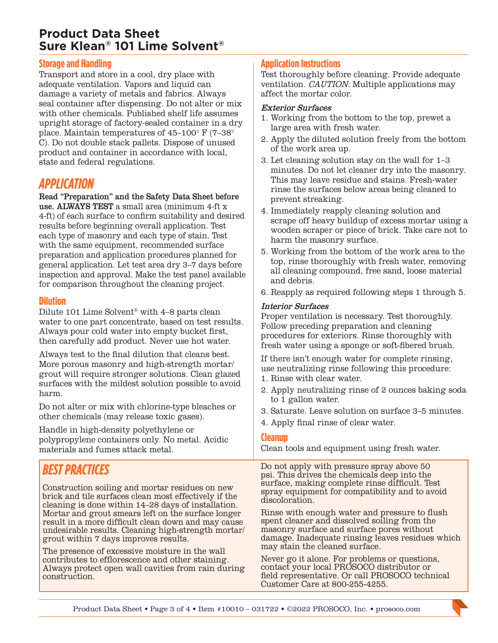## **Product Data Sheet Sure Klean® 101 Lime Solvent®**

## **Storage and Handling**

Transport and store in a cool, dry place with adequate ventilation. Vapors and liquid can damage a variety of metals and fabrics. Always seal container after dispensing. Do not alter or mix with other chemicals. Published shelf life assumes upright storage of factory-sealed container in a dry place. Maintain temperatures of 45–100° F (7–38° C). Do not double stack pallets. Dispose of unused product and container in accordance with local, state and federal regulations.

## *APPLICATION*

Read "Preparation" and the Safety Data Sheet before use. ALWAYS TEST a small area (minimum 4-ft x 4-ft) of each surface to confirm suitability and desired results before beginning overall application. Test each type of masonry and each type of stain. Test with the same equipment, recommended surface preparation and application procedures planned for general application. Let test area dry 3–7 days before inspection and approval. Make the test panel available for comparison throughout the cleaning project.

#### **Dilution**

Dilute 101 Lime Solvent® with 4–8 parts clean water to one part concentrate, based on test results. Always pour cold water into empty bucket first, then carefully add product. Never use hot water.

Always test to the final dilution that cleans best. More porous masonry and high-strength mortar/ grout will require stronger solutions. Clean glazed surfaces with the mildest solution possible to avoid harm.

Do not alter or mix with chlorine-type bleaches or other chemicals (may release toxic gases).

Handle in high-density polyethylene or polypropylene containers only. No metal. Acidic materials and fumes attack metal.

## *BEST PRACTICES*

Construction soiling and mortar residues on new brick and tile surfaces clean most effectively if the cleaning is done within 14–28 days of installation. Mortar and grout smears left on the surface longer result in a more difficult clean down and may cause undesirable results. Cleaning high-strength mortar/ grout within 7 days improves results.

The presence of excessive moisture in the wall contributes to efflorescence and other staining. Always protect open wall cavities from rain during construction.

## **Application Instructions**

Test thoroughly before cleaning. Provide adequate ventilation. CAUTION: Multiple applications may affect the mortar color.

#### Exterior Surfaces

- 1. Working from the bottom to the top, prewet a large area with fresh water.
- 2. Apply the diluted solution freely from the bottom of the work area up.
- 3. Let cleaning solution stay on the wall for 1–3 minutes. Do not let cleaner dry into the masonry. This may leave residue and stains. Fresh-water rinse the surfaces below areas being cleaned to prevent streaking.
- 4. Immediately reapply cleaning solution and scrape off heavy buildup of excess mortar using a wooden scraper or piece of brick. Take care not to harm the masonry surface.
- 5. Working from the bottom of the work area to the top, rinse thoroughly with fresh water, removing all cleaning compound, free sand, loose material and debris.
- 6. Reapply as required following steps 1 through 5.

#### Interior Surfaces

Proper ventilation is necessary. Test thoroughly. Follow preceding preparation and cleaning procedures for exteriors. Rinse thoroughly with fresh water using a sponge or soft-fibered brush.

If there isn't enough water for complete rinsing, use neutralizing rinse following this procedure:

- 1. Rinse with clear water.
- 2. Apply neutralizing rinse of 2 ounces baking soda to 1 gallon water.
- 3. Saturate. Leave solution on surface 3–5 minutes.
- 4. Apply final rinse of clear water.

#### **Cleanup**

Clean tools and equipment using fresh water.

Do not apply with pressure spray above 50 psi. This drives the chemicals deep into the surface, making complete rinse difficult. Test spray equipment for compatibility and to avoid discoloration.

Rinse with enough water and pressure to flush spent cleaner and dissolved soiling from the masonry surface and surface pores without damage. Inadequate rinsing leaves residues which may stain the cleaned surface.

Never go it alone. For problems or questions, contact your local PROSOCO distributor or field representative. Or call PROSOCO technical Customer Care at 800-255-4255.